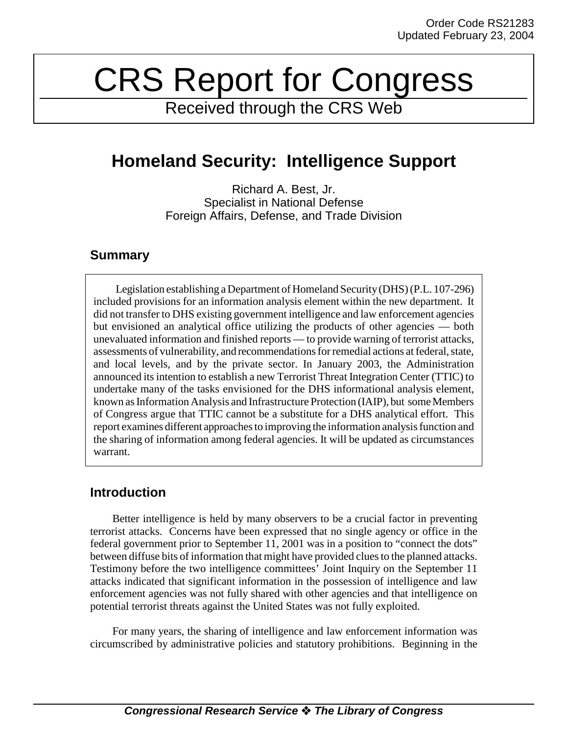# CRS Report for Congress

Received through the CRS Web

# **Homeland Security: Intelligence Support**

Richard A. Best, Jr. Specialist in National Defense Foreign Affairs, Defense, and Trade Division

### **Summary**

Legislation establishing a Department of Homeland Security (DHS) (P.L. 107-296) included provisions for an information analysis element within the new department. It did not transfer to DHS existing government intelligence and law enforcement agencies but envisioned an analytical office utilizing the products of other agencies — both unevaluated information and finished reports — to provide warning of terrorist attacks, assessments of vulnerability, and recommendations for remedial actions at federal, state, and local levels, and by the private sector. In January 2003, the Administration announced its intention to establish a new Terrorist Threat Integration Center (TTIC) to undertake many of the tasks envisioned for the DHS informational analysis element, known as Information Analysis and Infrastructure Protection (IAIP), but some Members of Congress argue that TTIC cannot be a substitute for a DHS analytical effort. This report examines different approaches to improving the information analysis function and the sharing of information among federal agencies. It will be updated as circumstances warrant.

## **Introduction**

Better intelligence is held by many observers to be a crucial factor in preventing terrorist attacks. Concerns have been expressed that no single agency or office in the federal government prior to September 11, 2001 was in a position to "connect the dots" between diffuse bits of information that might have provided clues to the planned attacks. Testimony before the two intelligence committees' Joint Inquiry on the September 11 attacks indicated that significant information in the possession of intelligence and law enforcement agencies was not fully shared with other agencies and that intelligence on potential terrorist threats against the United States was not fully exploited.

For many years, the sharing of intelligence and law enforcement information was circumscribed by administrative policies and statutory prohibitions. Beginning in the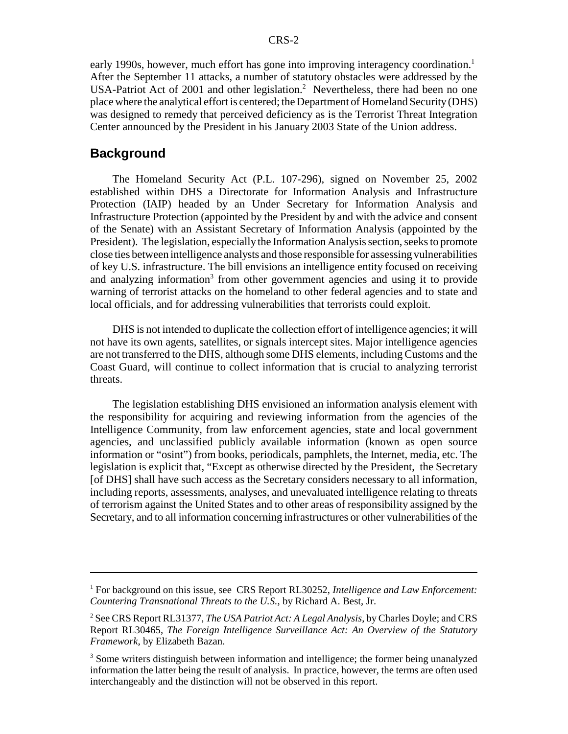early 1990s, however, much effort has gone into improving interagency coordination.<sup>1</sup> After the September 11 attacks, a number of statutory obstacles were addressed by the USA-Patriot Act of 2001 and other legislation.<sup>2</sup> Nevertheless, there had been no one place where the analytical effort is centered; the Department of Homeland Security (DHS) was designed to remedy that perceived deficiency as is the Terrorist Threat Integration Center announced by the President in his January 2003 State of the Union address.

#### **Background**

The Homeland Security Act (P.L. 107-296), signed on November 25, 2002 established within DHS a Directorate for Information Analysis and Infrastructure Protection (IAIP) headed by an Under Secretary for Information Analysis and Infrastructure Protection (appointed by the President by and with the advice and consent of the Senate) with an Assistant Secretary of Information Analysis (appointed by the President). The legislation, especially the Information Analysis section, seeks to promote close ties between intelligence analysts and those responsible for assessing vulnerabilities of key U.S. infrastructure. The bill envisions an intelligence entity focused on receiving and analyzing information<sup>3</sup> from other government agencies and using it to provide warning of terrorist attacks on the homeland to other federal agencies and to state and local officials, and for addressing vulnerabilities that terrorists could exploit.

DHS is not intended to duplicate the collection effort of intelligence agencies; it will not have its own agents, satellites, or signals intercept sites. Major intelligence agencies are not transferred to the DHS, although some DHS elements, including Customs and the Coast Guard, will continue to collect information that is crucial to analyzing terrorist threats.

The legislation establishing DHS envisioned an information analysis element with the responsibility for acquiring and reviewing information from the agencies of the Intelligence Community, from law enforcement agencies, state and local government agencies, and unclassified publicly available information (known as open source information or "osint") from books, periodicals, pamphlets, the Internet, media, etc. The legislation is explicit that, "Except as otherwise directed by the President, the Secretary [of DHS] shall have such access as the Secretary considers necessary to all information, including reports, assessments, analyses, and unevaluated intelligence relating to threats of terrorism against the United States and to other areas of responsibility assigned by the Secretary, and to all information concerning infrastructures or other vulnerabilities of the

<sup>&</sup>lt;sup>1</sup> For background on this issue, see CRS Report RL30252, *Intelligence and Law Enforcement*: *Countering Transnational Threats to the U.S.*, by Richard A. Best, Jr.

<sup>2</sup> See CRS Report RL31377, *The USA Patriot Act: A Legal Analysis*, by Charles Doyle; and CRS Report RL30465, *The Foreign Intelligence Surveillance Act: An Overview of the Statutory Framework*, by Elizabeth Bazan.

<sup>&</sup>lt;sup>3</sup> Some writers distinguish between information and intelligence; the former being unanalyzed information the latter being the result of analysis. In practice, however, the terms are often used interchangeably and the distinction will not be observed in this report.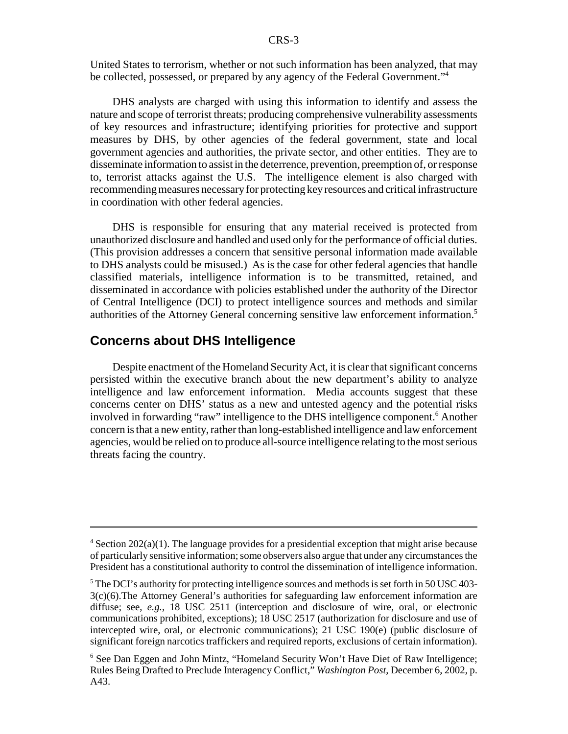United States to terrorism, whether or not such information has been analyzed, that may be collected, possessed, or prepared by any agency of the Federal Government."4

DHS analysts are charged with using this information to identify and assess the nature and scope of terrorist threats; producing comprehensive vulnerability assessments of key resources and infrastructure; identifying priorities for protective and support measures by DHS, by other agencies of the federal government, state and local government agencies and authorities, the private sector, and other entities. They are to disseminate information to assist in the deterrence, prevention, preemption of, or response to, terrorist attacks against the U.S. The intelligence element is also charged with recommending measures necessary for protecting key resources and critical infrastructure in coordination with other federal agencies.

DHS is responsible for ensuring that any material received is protected from unauthorized disclosure and handled and used only for the performance of official duties. (This provision addresses a concern that sensitive personal information made available to DHS analysts could be misused.) As is the case for other federal agencies that handle classified materials, intelligence information is to be transmitted, retained, and disseminated in accordance with policies established under the authority of the Director of Central Intelligence (DCI) to protect intelligence sources and methods and similar authorities of the Attorney General concerning sensitive law enforcement information.<sup>5</sup>

#### **Concerns about DHS Intelligence**

Despite enactment of the Homeland Security Act, it is clear that significant concerns persisted within the executive branch about the new department's ability to analyze intelligence and law enforcement information. Media accounts suggest that these concerns center on DHS' status as a new and untested agency and the potential risks involved in forwarding "raw" intelligence to the DHS intelligence component.<sup>6</sup> Another concern is that a new entity, rather than long-established intelligence and law enforcement agencies, would be relied on to produce all-source intelligence relating to the most serious threats facing the country.

 $4$  Section 202(a)(1). The language provides for a presidential exception that might arise because of particularly sensitive information; some observers also argue that under any circumstances the President has a constitutional authority to control the dissemination of intelligence information.

 $5$  The DCI's authority for protecting intelligence sources and methods is set forth in 50 USC 403-3(c)(6).The Attorney General's authorities for safeguarding law enforcement information are diffuse; see, *e.g.*, 18 USC 2511 (interception and disclosure of wire, oral, or electronic communications prohibited, exceptions); 18 USC 2517 (authorization for disclosure and use of intercepted wire, oral, or electronic communications); 21 USC 190(e) (public disclosure of significant foreign narcotics traffickers and required reports, exclusions of certain information).

<sup>&</sup>lt;sup>6</sup> See Dan Eggen and John Mintz, "Homeland Security Won't Have Diet of Raw Intelligence; Rules Being Drafted to Preclude Interagency Conflict," *Washington Post*, December 6, 2002, p. A43.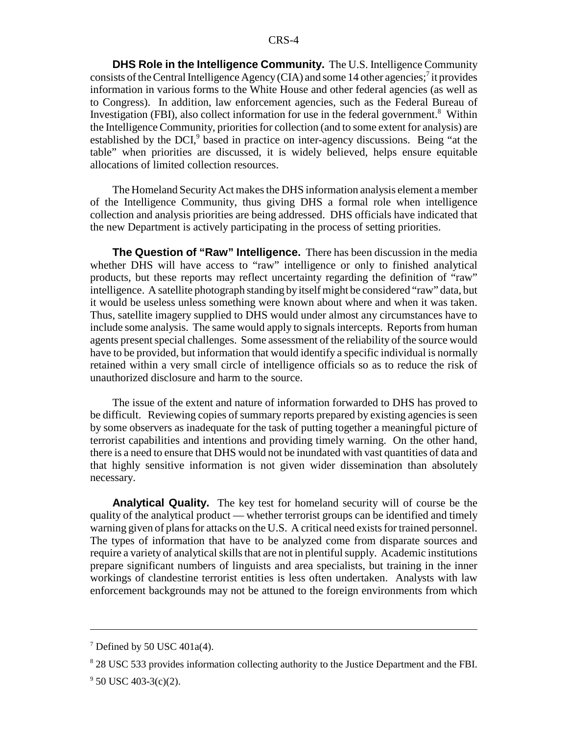**DHS Role in the Intelligence Community.** The U.S. Intelligence Community consists of the Central Intelligence Agency (CIA) and some 14 other agencies;<sup>7</sup> it provides information in various forms to the White House and other federal agencies (as well as to Congress). In addition, law enforcement agencies, such as the Federal Bureau of Investigation (FBI), also collect information for use in the federal government.<sup>8</sup> Within the Intelligence Community, priorities for collection (and to some extent for analysis) are established by the DCI,<sup>9</sup> based in practice on inter-agency discussions. Being "at the table" when priorities are discussed, it is widely believed, helps ensure equitable allocations of limited collection resources.

The Homeland Security Act makes the DHS information analysis element a member of the Intelligence Community, thus giving DHS a formal role when intelligence collection and analysis priorities are being addressed. DHS officials have indicated that the new Department is actively participating in the process of setting priorities.

**The Question of "Raw" Intelligence.** There has been discussion in the media whether DHS will have access to "raw" intelligence or only to finished analytical products, but these reports may reflect uncertainty regarding the definition of "raw" intelligence. A satellite photograph standing by itself might be considered "raw" data, but it would be useless unless something were known about where and when it was taken. Thus, satellite imagery supplied to DHS would under almost any circumstances have to include some analysis. The same would apply to signals intercepts. Reports from human agents present special challenges. Some assessment of the reliability of the source would have to be provided, but information that would identify a specific individual is normally retained within a very small circle of intelligence officials so as to reduce the risk of unauthorized disclosure and harm to the source.

The issue of the extent and nature of information forwarded to DHS has proved to be difficult. Reviewing copies of summary reports prepared by existing agencies is seen by some observers as inadequate for the task of putting together a meaningful picture of terrorist capabilities and intentions and providing timely warning. On the other hand, there is a need to ensure that DHS would not be inundated with vast quantities of data and that highly sensitive information is not given wider dissemination than absolutely necessary.

**Analytical Quality.** The key test for homeland security will of course be the quality of the analytical product — whether terrorist groups can be identified and timely warning given of plans for attacks on the U.S. A critical need exists for trained personnel. The types of information that have to be analyzed come from disparate sources and require a variety of analytical skills that are not in plentiful supply. Academic institutions prepare significant numbers of linguists and area specialists, but training in the inner workings of clandestine terrorist entities is less often undertaken. Analysts with law enforcement backgrounds may not be attuned to the foreign environments from which

<sup>&</sup>lt;sup>7</sup> Defined by 50 USC 401a(4).

<sup>&</sup>lt;sup>8</sup> 28 USC 533 provides information collecting authority to the Justice Department and the FBI.

 $9^9$  50 USC 403-3(c)(2).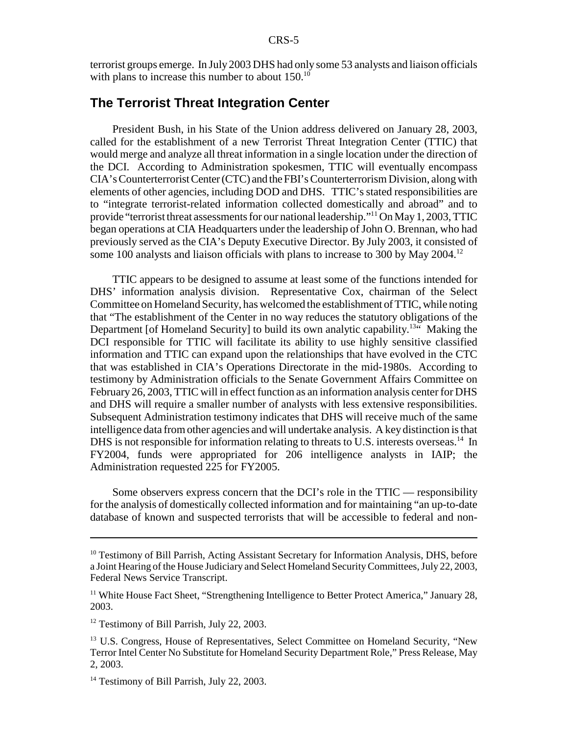terrorist groups emerge. In July 2003 DHS had only some 53 analysts and liaison officials with plans to increase this number to about 150.<sup>10</sup>

#### **The Terrorist Threat Integration Center**

President Bush, in his State of the Union address delivered on January 28, 2003, called for the establishment of a new Terrorist Threat Integration Center (TTIC) that would merge and analyze all threat information in a single location under the direction of the DCI. According to Administration spokesmen, TTIC will eventually encompass CIA's Counterterrorist Center (CTC) and the FBI's Counterterrorism Division, along with elements of other agencies, including DOD and DHS. TTIC's stated responsibilities are to "integrate terrorist-related information collected domestically and abroad" and to provide "terrorist threat assessments for our national leadership."11 On May 1, 2003, TTIC began operations at CIA Headquarters under the leadership of John O. Brennan, who had previously served as the CIA's Deputy Executive Director. By July 2003, it consisted of some 100 analysts and liaison officials with plans to increase to 300 by May 2004.<sup>12</sup>

TTIC appears to be designed to assume at least some of the functions intended for DHS' information analysis division. Representative Cox, chairman of the Select Committee on Homeland Security, has welcomed the establishment of TTIC, while noting that "The establishment of the Center in no way reduces the statutory obligations of the Department [of Homeland Security] to build its own analytic capability.<sup>13"</sup> Making the DCI responsible for TTIC will facilitate its ability to use highly sensitive classified information and TTIC can expand upon the relationships that have evolved in the CTC that was established in CIA's Operations Directorate in the mid-1980s. According to testimony by Administration officials to the Senate Government Affairs Committee on February 26, 2003, TTIC will in effect function as an information analysis center for DHS and DHS will require a smaller number of analysts with less extensive responsibilities. Subsequent Administration testimony indicates that DHS will receive much of the same intelligence data from other agencies and will undertake analysis. A key distinction is that DHS is not responsible for information relating to threats to U.S. interests overseas.<sup>14</sup> In FY2004, funds were appropriated for 206 intelligence analysts in IAIP; the Administration requested 225 for FY2005.

Some observers express concern that the DCI's role in the TTIC — responsibility for the analysis of domestically collected information and for maintaining "an up-to-date database of known and suspected terrorists that will be accessible to federal and non-

<sup>&</sup>lt;sup>10</sup> Testimony of Bill Parrish, Acting Assistant Secretary for Information Analysis, DHS, before a Joint Hearing of the House Judiciary and Select Homeland Security Committees, July 22, 2003, Federal News Service Transcript.

<sup>&</sup>lt;sup>11</sup> White House Fact Sheet, "Strengthening Intelligence to Better Protect America," January 28, 2003.

<sup>&</sup>lt;sup>12</sup> Testimony of Bill Parrish, July 22, 2003.

<sup>&</sup>lt;sup>13</sup> U.S. Congress, House of Representatives, Select Committee on Homeland Security, "New Terror Intel Center No Substitute for Homeland Security Department Role," Press Release, May 2, 2003.

<sup>&</sup>lt;sup>14</sup> Testimony of Bill Parrish, July 22, 2003.